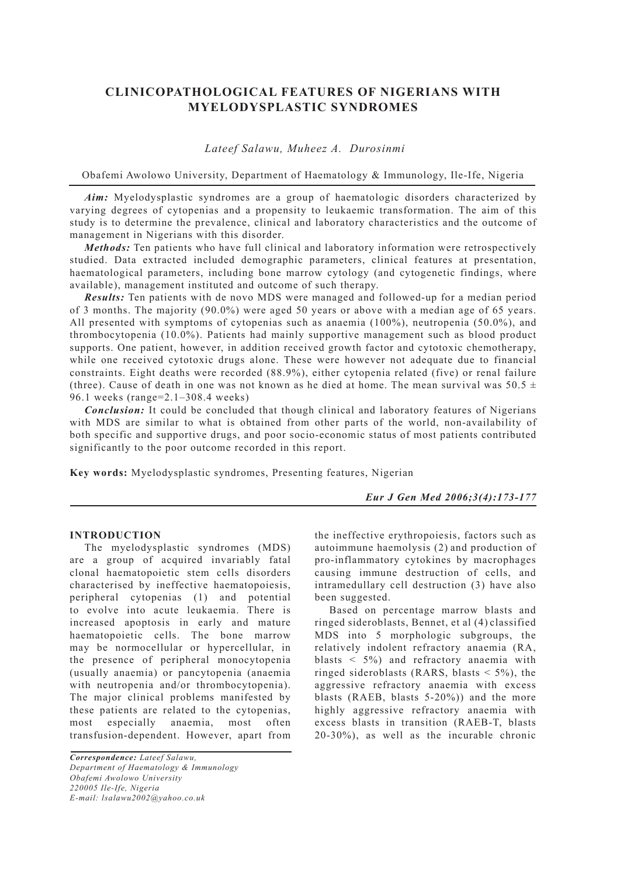# **CLINICOPATHOLOGICAL FEATURES OF NIGERIANS WITH MYELODYSPLASTIC SYNDROMES**

# *Lateef Salawu, Muheez A. Durosinmi*

Obafemi Awolowo University, Department of Haematology & Immunology, Ile-Ife, Nigeria

*Aim:* Myelodysplastic syndromes are a group of haematologic disorders characterized by varying degrees of cytopenias and a propensity to leukaemic transformation. The aim of this study is to determine the prevalence, clinical and laboratory characteristics and the outcome of management in Nigerians with this disorder.

*Methods:* Ten patients who have full clinical and laboratory information were retrospectively studied. Data extracted included demographic parameters, clinical features at presentation, haematological parameters, including bone marrow cytology (and cytogenetic findings, where available), management instituted and outcome of such therapy.

*Results:* Ten patients with de novo MDS were managed and followed-up for a median period of 3 months. The majority (90.0%) were aged 50 years or above with a median age of 65 years. All presented with symptoms of cytopenias such as anaemia (100%), neutropenia (50.0%), and thrombocytopenia (10.0%). Patients had mainly supportive management such as blood product supports. One patient, however, in addition received growth factor and cytotoxic chemotherapy, while one received cytotoxic drugs alone. These were however not adequate due to financial constraints. Eight deaths were recorded (88.9%), either cytopenia related (five) or renal failure (three). Cause of death in one was not known as he died at home. The mean survival was  $50.5 \pm$ 96.1 weeks (range=2.1–308.4 weeks)

*Conclusion:* It could be concluded that though clinical and laboratory features of Nigerians with MDS are similar to what is obtained from other parts of the world, non-availability of both specific and supportive drugs, and poor socio-economic status of most patients contributed significantly to the poor outcome recorded in this report.

**Key words:** Myelodysplastic syndromes, Presenting features, Nigerian

*Eur J Gen Med 2006;3(4):173-177*

# **INTRODUCTION**

The myelodysplastic syndromes (MDS) are a group of acquired invariably fatal clonal haematopoietic stem cells disorders characterised by ineffective haematopoiesis, peripheral cytopenias (1) and potential to evolve into acute leukaemia. There is increased apoptosis in early and mature haematopoietic cells. The bone marrow may be normocellular or hypercellular, in the presence of peripheral monocytopenia (usually anaemia) or pancytopenia (anaemia with neutropenia and/or thrombocytopenia). The major clinical problems manifested by these patients are related to the cytopenias, most especially anaemia, most often transfusion-dependent. However, apart from the ineffective erythropoiesis, factors such as autoimmune haemolysis (2) and production of pro-inflammatory cytokines by macrophages causing immune destruction of cells, and intramedullary cell destruction (3) have also been suggested.

Based on percentage marrow blasts and ringed sideroblasts, Bennet, et al (4) classified MDS into 5 morphologic subgroups, the relatively indolent refractory anaemia (RA, blasts < 5%) and refractory anaemia with ringed sideroblasts (RARS, blasts  $\leq$  5%), the aggressive refractory anaemia with excess blasts (RAEB, blasts 5-20%)) and the more highly aggressive refractory anaemia with excess blasts in transition (RAEB-T, blasts 20-30%), as well as the incurable chronic

*Correspondence: Lateef Salawu, Department of Haematology & Immunology Obafemi Awolowo University 220005 Ile-Ife, Nigeria E-mail: lsalawu2002@yahoo.co.uk*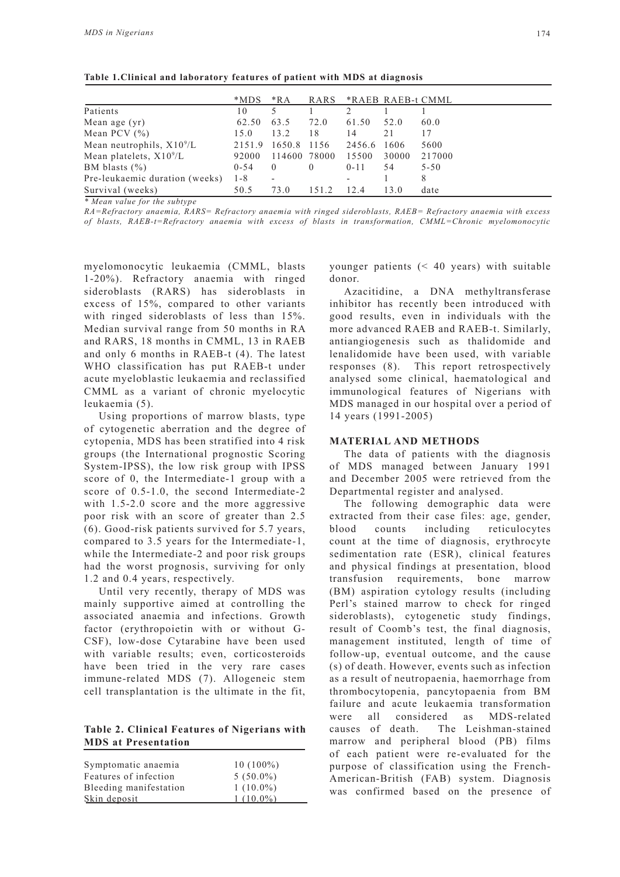|                                | *MDS     | $*RA$                    | RARS     | *RAEB RAEB-t CMML        |       |          |
|--------------------------------|----------|--------------------------|----------|--------------------------|-------|----------|
| Patients                       | 10       |                          |          |                          |       |          |
| Mean age $(yr)$                | 62.50    | 63.5                     | 72.0     | 61.50                    | 52.0  | 60.0     |
| Mean PCV $(\% )$               | 15.0     | 13.2                     | 18       | 14                       | 21    | 17       |
| Mean neutrophils, $X10^9/L$    |          | 2151.9 1650.8            | 1156     | 2456.6                   | 1606  | 5600     |
| Mean platelets, $X10^9/L$      | 92000    | 114600 78000             |          | 15500                    | 30000 | 217000   |
| BM blasts $(\% )$              | $0 - 54$ | $\theta$                 | $\theta$ | $0 - 11$                 | 54    | $5 - 50$ |
| Pre-leukaemic duration (weeks) | $1 - 8$  | $\overline{\phantom{a}}$ |          | $\overline{\phantom{0}}$ |       | 8        |
| Survival (weeks)               | 50.5     | 73.0                     | 151.2    | 12.4                     | 13.0  | date     |

**Table 1.Clinical and laboratory features of patient with MDS at diagnosis**

*\* Mean value for the subtype*

*RA=Refractory anaemia, RARS= Refractory anaemia with ringed sideroblasts, RAEB= Refractory anaemia with excess of blasts, RAEB-t=Refractory anaemia with excess of blasts in transformation, CMML=Chronic myelomonocytic* 

myelomonocytic leukaemia (CMML, blasts 1-20%). Refractory anaemia with ringed sideroblasts (RARS) has sideroblasts in excess of 15%, compared to other variants with ringed sideroblasts of less than 15%. Median survival range from 50 months in RA and RARS, 18 months in CMML, 13 in RAEB and only 6 months in RAEB-t (4). The latest WHO classification has put RAEB-t under acute myeloblastic leukaemia and reclassified CMML as a variant of chronic myelocytic leukaemia (5).

Using proportions of marrow blasts, type of cytogenetic aberration and the degree of cytopenia, MDS has been stratified into 4 risk groups (the International prognostic Scoring System-IPSS), the low risk group with IPSS score of 0, the Intermediate-1 group with a score of 0.5-1.0, the second Intermediate-2 with 1.5-2.0 score and the more aggressive poor risk with an score of greater than 2.5 (6). Good-risk patients survived for 5.7 years, compared to 3.5 years for the Intermediate-1, while the Intermediate-2 and poor risk groups had the worst prognosis, surviving for only 1.2 and 0.4 years, respectively.

Until very recently, therapy of MDS was mainly supportive aimed at controlling the associated anaemia and infections. Growth factor (erythropoietin with or without G-CSF), low-dose Cytarabine have been used with variable results; even, corticosteroids have been tried in the very rare cases immune-related MDS (7). Allogeneic stem cell transplantation is the ultimate in the fit,

**Table 2. Clinical Features of Nigerians with MDS at Presentation**

| Symptomatic anaemia<br>Features of infection | $10(100\%)$<br>$5(50.0\%)$ |
|----------------------------------------------|----------------------------|
| Bleeding manifestation                       | $1(10.0\%)$                |
| Skin deposit                                 | $1(100\%)$                 |

younger patients (< 40 years) with suitable donor.

Azacitidine, a DNA methyltransferase inhibitor has recently been introduced with good results, even in individuals with the more advanced RAEB and RAEB-t. Similarly, antiangiogenesis such as thalidomide and lenalidomide have been used, with variable responses (8). This report retrospectively analysed some clinical, haematological and immunological features of Nigerians with MDS managed in our hospital over a period of 14 years (1991-2005)

#### **MATERIAL AND METHODS**

The data of patients with the diagnosis of MDS managed between January 1991 and December 2005 were retrieved from the Departmental register and analysed.

The following demographic data were extracted from their case files: age, gender, blood counts including reticulocytes count at the time of diagnosis, erythrocyte sedimentation rate (ESR), clinical features and physical findings at presentation, blood transfusion requirements, bone marrow (BM) aspiration cytology results (including Perl's stained marrow to check for ringed sideroblasts), cytogenetic study findings, result of Coomb's test, the final diagnosis, management instituted, length of time of follow-up, eventual outcome, and the cause (s) of death. However, events such as infection as a result of neutropaenia, haemorrhage from thrombocytopenia, pancytopaenia from BM failure and acute leukaemia transformation were all considered as MDS-related causes of death. The Leishman-stained marrow and peripheral blood (PB) films of each patient were re-evaluated for the purpose of classification using the French-American-British (FAB) system. Diagnosis was confirmed based on the presence of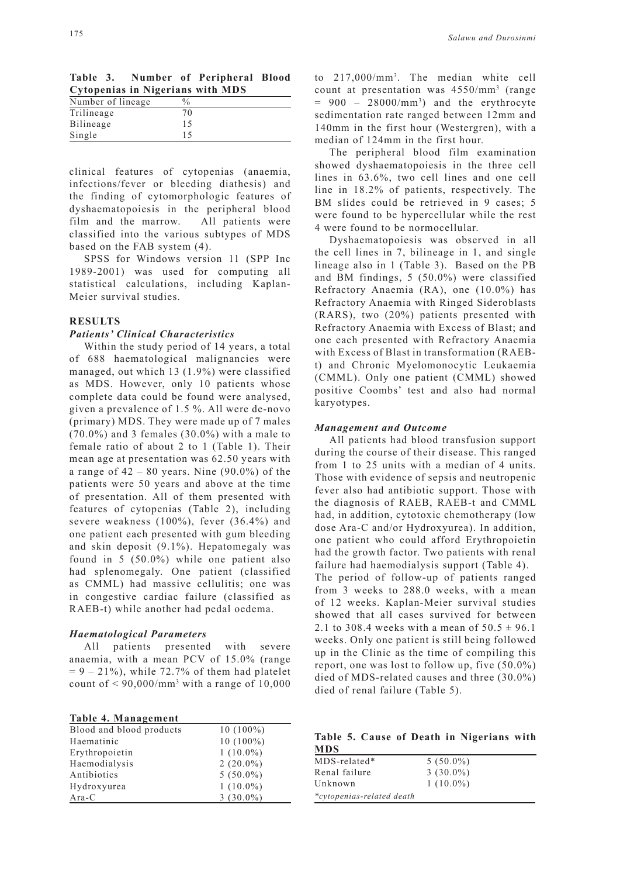| Table 3. |  | Number of Peripheral Blood              |  |
|----------|--|-----------------------------------------|--|
|          |  | <b>Cytopenias in Nigerians with MDS</b> |  |
| .        |  |                                         |  |

| Number of lineage | $\frac{0}{0}$ |  |
|-------------------|---------------|--|
| Trilineage        |               |  |
| Bilineage         | 15            |  |
| Single            |               |  |

clinical features of cytopenias (anaemia, infections/fever or bleeding diathesis) and the finding of cytomorphologic features of dyshaematopoiesis in the peripheral blood film and the marrow. All patients were classified into the various subtypes of MDS based on the FAB system (4).

SPSS for Windows version 11 (SPP Inc 1989-2001) was used for computing all statistical calculations, including Kaplan-Meier survival studies.

#### **RESULTS**

#### *Patients' Clinical Characteristics*

Within the study period of 14 years, a total of 688 haematological malignancies were managed, out which 13 (1.9%) were classified as MDS. However, only 10 patients whose complete data could be found were analysed, given a prevalence of 1.5 %. All were de-novo (primary) MDS. They were made up of 7 males (70.0%) and 3 females (30.0%) with a male to female ratio of about 2 to 1 (Table 1). Their mean age at presentation was 62.50 years with a range of  $42 - 80$  years. Nine  $(90.0\%)$  of the patients were 50 years and above at the time of presentation. All of them presented with features of cytopenias (Table 2), including severe weakness (100%), fever (36.4%) and one patient each presented with gum bleeding and skin deposit (9.1%). Hepatomegaly was found in 5 (50.0%) while one patient also had splenomegaly. One patient (classified as CMML) had massive cellulitis; one was in congestive cardiac failure (classified as RAEB-t) while another had pedal oedema.

#### *Haematological Parameters*

All patients presented with severe anaemia, with a mean PCV of 15.0% (range  $= 9 - 21\%$ , while 72.7% of them had platelet count of  $\leq 90,000/\text{mm}^3$  with a range of  $10,000$ 

|  | Table 4. Management |  |
|--|---------------------|--|
|  |                     |  |

| Blood and blood products | $10(100\%)$ |
|--------------------------|-------------|
| Haematinic               | $10(100\%)$ |
| Erythropoietin           | $1(10.0\%)$ |
| Haemodialysis            | $2(20.0\%)$ |
| Antibiotics              | $5(50.0\%)$ |
| Hydroxyurea              | $1(10.0\%)$ |
| Ara-C                    | $3(30.0\%)$ |

to 217,000/mm3 . The median white cell count at presentation was 4550/mm3 (range  $= 900 - 28000/mm^3$  and the erythrocyte sedimentation rate ranged between 12mm and 140mm in the first hour (Westergren), with a median of 124mm in the first hour.

The peripheral blood film examination showed dyshaematopoiesis in the three cell lines in 63.6%, two cell lines and one cell line in 18.2% of patients, respectively. The BM slides could be retrieved in 9 cases; 5 were found to be hypercellular while the rest 4 were found to be normocellular.

Dyshaematopoiesis was observed in all the cell lines in 7, bilineage in 1, and single lineage also in 1 (Table 3). Based on the PB and BM findings, 5 (50.0%) were classified Refractory Anaemia (RA), one (10.0%) has Refractory Anaemia with Ringed Sideroblasts (RARS), two (20%) patients presented with Refractory Anaemia with Excess of Blast; and one each presented with Refractory Anaemia with Excess of Blast in transformation (RAEBt) and Chronic Myelomonocytic Leukaemia (CMML). Only one patient (CMML) showed positive Coombs' test and also had normal karyotypes.

## *Management and Outcome*

All patients had blood transfusion support during the course of their disease. This ranged from 1 to 25 units with a median of 4 units. Those with evidence of sepsis and neutropenic fever also had antibiotic support. Those with the diagnosis of RAEB, RAEB-t and CMML had, in addition, cytotoxic chemotherapy (low dose Ara-C and/or Hydroxyurea). In addition, one patient who could afford Erythropoietin had the growth factor. Two patients with renal failure had haemodialysis support (Table 4).

The period of follow-up of patients ranged from 3 weeks to 288.0 weeks, with a mean of 12 weeks. Kaplan-Meier survival studies showed that all cases survived for between 2.1 to 308.4 weeks with a mean of  $50.5 \pm 96.1$ weeks. Only one patient is still being followed up in the Clinic as the time of compiling this report, one was lost to follow up, five (50.0%) died of MDS-related causes and three (30.0%) died of renal failure (Table 5).

|            |  |  | Table 5. Cause of Death in Nigerians with |  |
|------------|--|--|-------------------------------------------|--|
| <b>MDS</b> |  |  |                                           |  |

| $MDS$ -related*           | $5(50.0\%)$ |
|---------------------------|-------------|
| Renal failure             | $3(30.0\%)$ |
| Unknown                   | $1(10.0\%)$ |
| *cytopenias-related death |             |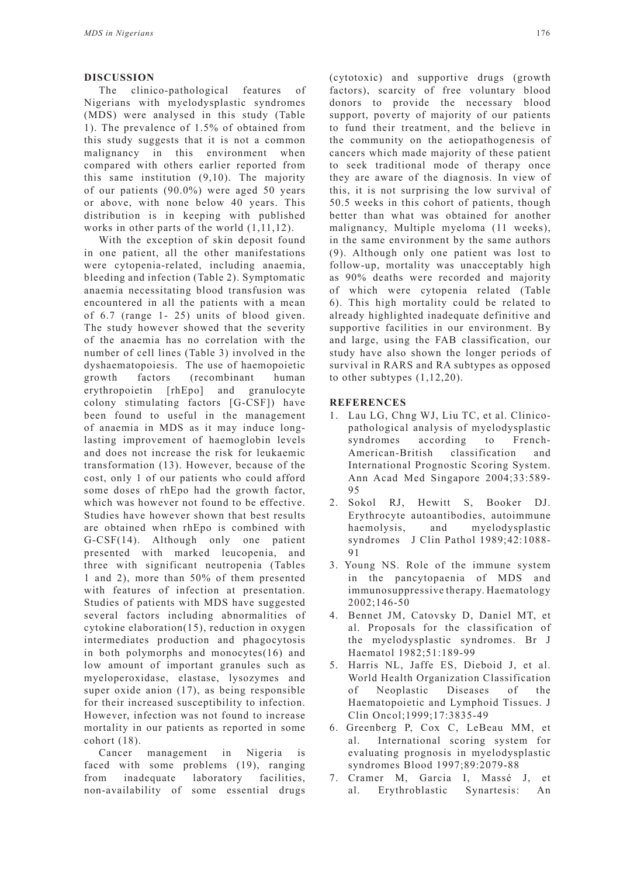### **DISCUSSION**

The clinico-pathological features of Nigerians with myelodysplastic syndromes (MDS) were analysed in this study (Table 1). The prevalence of 1.5% of obtained from this study suggests that it is not a common malignancy in this environment when compared with others earlier reported from this same institution (9,10). The majority of our patients (90.0%) were aged 50 years or above, with none below 40 years. This distribution is in keeping with published works in other parts of the world  $(1,11,12)$ .

With the exception of skin deposit found in one patient, all the other manifestations were cytopenia-related, including anaemia, bleeding and infection (Table 2). Symptomatic anaemia necessitating blood transfusion was encountered in all the patients with a mean of 6.7 (range 1- 25) units of blood given. The study however showed that the severity of the anaemia has no correlation with the number of cell lines (Table 3) involved in the dyshaematopoiesis. The use of haemopoietic growth factors (recombinant human erythropoietin [rhEpo] and granulocyte colony stimulating factors [G-CSF]) have been found to useful in the management of anaemia in MDS as it may induce longlasting improvement of haemoglobin levels and does not increase the risk for leukaemic transformation (13). However, because of the cost, only 1 of our patients who could afford some doses of rhEpo had the growth factor, which was however not found to be effective. Studies have however shown that best results are obtained when rhEpo is combined with G-CSF(14). Although only one patient presented with marked leucopenia, and three with significant neutropenia (Tables 1 and 2), more than 50% of them presented with features of infection at presentation. Studies of patients with MDS have suggested several factors including abnormalities of cytokine elaboration(15), reduction in oxygen intermediates production and phagocytosis in both polymorphs and monocytes(16) and low amount of important granules such as myeloperoxidase, elastase, lysozymes and super oxide anion (17), as being responsible for their increased susceptibility to infection. However, infection was not found to increase mortality in our patients as reported in some cohort (18).

Cancer management in Nigeria is faced with some problems (19), ranging from inadequate laboratory facilities, non-availability of some essential drugs (cytotoxic) and supportive drugs (growth factors), scarcity of free voluntary blood donors to provide the necessary blood support, poverty of majority of our patients to fund their treatment, and the believe in the community on the aetiopathogenesis of cancers which made majority of these patient to seek traditional mode of therapy once they are aware of the diagnosis. In view of this, it is not surprising the low survival of 50.5 weeks in this cohort of patients, though better than what was obtained for another malignancy, Multiple myeloma (11 weeks), in the same environment by the same authors (9). Although only one patient was lost to follow-up, mortality was unacceptably high as 90% deaths were recorded and majority of which were cytopenia related (Table 6). This high mortality could be related to already highlighted inadequate definitive and supportive facilities in our environment. By and large, using the FAB classification, our study have also shown the longer periods of survival in RARS and RA subtypes as opposed to other subtypes (1,12,20).

## **REFERENCES**

- 1. Lau LG, Chng WJ, Liu TC, et al. Clinicopathological analysis of myelodysplastic syndromes according to French-American-British classification and International Prognostic Scoring System. Ann Acad Med Singapore 2004;33:589- 95
- 2. Sokol RJ, Hewitt S, Booker DJ. Erythrocyte autoantibodies, autoimmune haemolysis, and myelodysplastic syndromes J Clin Pathol 1989;42:1088- 91
- 3. Young NS. Role of the immune system in the pancytopaenia of MDS and immunosuppressive therapy. Haematology 2002;146-50
- 4. Bennet JM, Catovsky D, Daniel MT, et al. Proposals for the classification of the myelodysplastic syndromes. Br J Haematol 1982;51:189-99
- 5. Harris NL, Jaffe ES, Dieboid J, et al. World Health Organization Classification of Neoplastic Diseases of the Haematopoietic and Lymphoid Tissues. J Clin Oncol;1999;17:3835-49
- 6. Greenberg P, Cox C, LeBeau MM, et al. International scoring system for evaluating prognosis in myelodysplastic syndromes Blood 1997;89:2079-88
- 7. Cramer M, Garcia I, Massé J, et al. Erythroblastic Synartesis: An